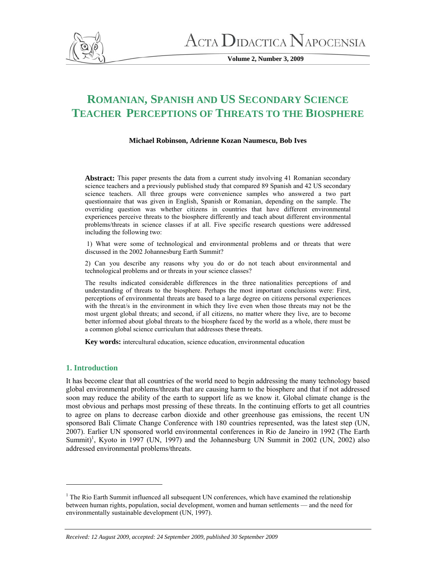

 $\Lambda$ CTA  $\rm D$ idactica  $\rm N$ apocensia

**Volume 2, Number 3, 2009** 

# **ROMANIAN, SPANISH AND US SECONDARY SCIENCE TEACHER PERCEPTIONS OF THREATS TO THE BIOSPHERE**

# **Michael Robinson, Adrienne Kozan Naumescu, Bob Ives**

**Abstract:** This paper presents the data from a current study involving 41 Romanian secondary science teachers and a previously published study that compared 89 Spanish and 42 US secondary science teachers. All three groups were convenience samples who answered a two part questionnaire that was given in English, Spanish or Romanian, depending on the sample. The overriding question was whether citizens in countries that have different environmental experiences perceive threats to the biosphere differently and teach about different environmental problems/threats in science classes if at all. Five specific research questions were addressed including the following two:

 1) What were some of technological and environmental problems and or threats that were discussed in the 2002 Johannesburg Earth Summit?

2) Can you describe any reasons why you do or do not teach about environmental and technological problems and or threats in your science classes?

The results indicated considerable differences in the three nationalities perceptions of and understanding of threats to the biosphere. Perhaps the most important conclusions were: First, perceptions of environmental threats are based to a large degree on citizens personal experiences with the threat/s in the environment in which they live even when those threats may not be the most urgent global threats; and second, if all citizens, no matter where they live, are to become better informed about global threats to the biosphere faced by the world as a whole, there must be a common global science curriculum that addresses these threats.

**Key words:** intercultural education, science education, environmental education

# **1. Introduction**

It has become clear that all countries of the world need to begin addressing the many technology based global environmental problems/threats that are causing harm to the biosphere and that if not addressed soon may reduce the ability of the earth to support life as we know it. Global climate change is the most obvious and perhaps most pressing of these threats. In the continuing efforts to get all countries to agree on plans to decrease carbon dioxide and other greenhouse gas emissions, the recent UN sponsored Bali Climate Change Conference with 180 countries represented, was the latest step (UN, 2007). Earlier UN sponsored world environmental conferences in Rio de Janeiro in 1992 (The Earth Summit)<sup>1</sup>, Kyoto in 1997 (UN, 1997) and the Johannesburg UN Summit in 2002 (UN, 2002) also addressed environmental problems/threats.

<sup>&</sup>lt;sup>1</sup> The Rio Earth Summit influenced all subsequent UN conferences, which have examined the relationship between human rights, population, social development, women and human settlements — and the need for environmentally sustainable development (UN, 1997).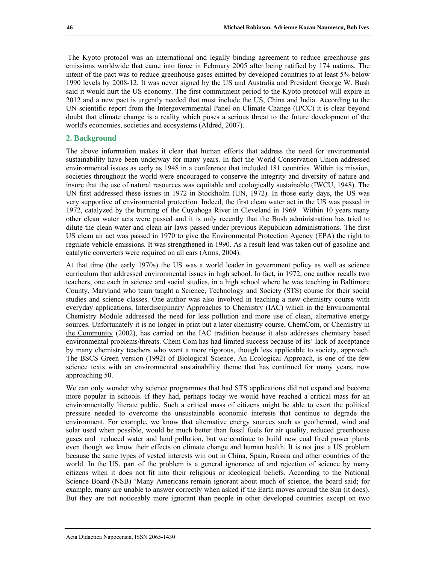The Kyoto protocol was an international and legally binding agreement to reduce greenhouse gas emissions worldwide that came into force in February 2005 after being ratified by 174 nations. The intent of the pact was to reduce greenhouse gases emitted by developed countries to at least 5% below 1990 levels by 2008-12. It was never signed by the US and Australia and President George W. Bush said it would hurt the US economy. The first commitment period to the Kyoto protocol will expire in 2012 and a new pact is urgently needed that must include the US, China and India. According to the UN scientific report from the Intergovernmental Panel on Climate Change (IPCC) it is clear beyond doubt that climate change is a reality which poses a serious threat to the future development of the world's economies, societies and ecosystems (Aldred, 2007).

## **2. Background**

The above information makes it clear that human efforts that address the need for environmental sustainability have been underway for many years. In fact the World Conservation Union addressed environmental issues as early as 1948 in a conference that included 181 countries. Within its mission, societies throughout the world were encouraged to conserve the integrity and diversity of nature and insure that the use of natural resources was equitable and ecologically sustainable (IWCU, 1948). The UN first addressed these issues in 1972 in Stockholm (UN, 1972). In those early days, the US was very supportive of environmental protection. Indeed, the first clean water act in the US was passed in 1972, catalyzed by the burning of the Cuyahoga River in Cleveland in 1969. Within 10 years many other clean water acts were passed and it is only recently that the Bush administration has tried to dilute the clean water and clean air laws passed under previous Republican administrations. The first US clean air act was passed in 1970 to give the Environmental Protection Agency (EPA) the right to regulate vehicle emissions. It was strengthened in 1990. As a result lead was taken out of gasoline and catalytic converters were required on all cars (Arms, 2004).

At that time (the early 1970s) the US was a world leader in government policy as well as science curriculum that addressed environmental issues in high school. In fact, in 1972, one author recalls two teachers, one each in science and social studies, in a high school where he was teaching in Baltimore County, Maryland who team taught a Science, Technology and Society (STS) course for their social studies and science classes. One author was also involved in teaching a new chemistry course with everyday applications, Interdisciplinary Approaches to Chemistry (IAC) which in the Environmental Chemistry Module addressed the need for less pollution and more use of clean, alternative energy sources. Unfortunately it is no longer in print but a later chemistry course, ChemCom*,* or Chemistry in the Community (2002), has carried on the IAC tradition because it also addresses chemistry based environmental problems/threats. Chem Com has had limited success because of its' lack of acceptance by many chemistry teachers who want a more rigorous, though less applicable to society, approach. The BSCS Green version (1992) of Biological Science, An Ecological Approach, is one of the few science texts with an environmental sustainability theme that has continued for many years, now approaching 50.

We can only wonder why science programmes that had STS applications did not expand and become more popular in schools. If they had, perhaps today we would have reached a critical mass for an environmentally literate public. Such a critical mass of citizens might be able to exert the political pressure needed to overcome the unsustainable economic interests that continue to degrade the environment. For example, we know that alternative energy sources such as geothermal, wind and solar used when possible, would be much better than fossil fuels for air quality, reduced greenhouse gases and reduced water and land pollution, but we continue to build new coal fired power plants even though we know their effects on climate change and human health. It is not just a US problem because the same types of vested interests win out in China, Spain, Russia and other countries of the world. In the US, part of the problem is a general ignorance of and rejection of science by many citizens when it does not fit into their religious or ideological beliefs. According to the National Science Board (NSB) 'Many Americans remain ignorant about much of science, the board said; for example, many are unable to answer correctly when asked if the Earth moves around the Sun (it does). But they are not noticeably more ignorant than people in other developed countries except on two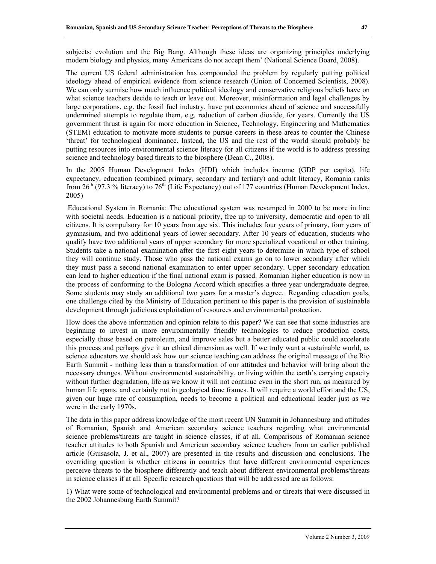subjects: evolution and the Big Bang. Although these ideas are organizing principles underlying modern biology and physics, many Americans do not accept them' (National Science Board, 2008).

The current US federal administration has compounded the problem by regularly putting political ideology ahead of empirical evidence from science research (Union of Concerned Scientists, 2008). We can only surmise how much influence political ideology and conservative religious beliefs have on what science teachers decide to teach or leave out. Moreover, misinformation and legal challenges by large corporations, e.g. the fossil fuel industry, have put economics ahead of science and successfully undermined attempts to regulate them, e.g. reduction of carbon dioxide, for years. Currently the US government thrust is again for more education in Science, Technology, Engineering and Mathematics (STEM) education to motivate more students to pursue careers in these areas to counter the Chinese 'threat' for technological dominance. Instead, the US and the rest of the world should probably be putting resources into environmental science literacy for all citizens if the world is to address pressing science and technology based threats to the biosphere (Dean C., 2008).

In the 2005 Human Development Index (HDI) which includes income (GDP per capita), life expectancy, education (combined primary, secondary and tertiary) and adult literacy, Romania ranks from  $26<sup>th</sup>$  (97.3 % literacy) to 76<sup>th</sup> (Life Expectancy) out of 177 countries (Human Development Index, 2005)

Educational System in Romania: The educational system was revamped in 2000 to be more in line with societal needs. Education is a national priority, free up to university, democratic and open to all citizens. It is compulsory for 10 years from age six. This includes four years of primary, four years of gymnasium, and two additional years of lower secondary. After 10 years of education, students who qualify have two additional years of upper secondary for more specialized vocational or other training. Students take a national examination after the first eight years to determine in which type of school they will continue study. Those who pass the national exams go on to lower secondary after which they must pass a second national examination to enter upper secondary. Upper secondary education can lead to higher education if the final national exam is passed. Romanian higher education is now in the process of conforming to the Bologna Accord which specifies a three year undergraduate degree. Some students may study an additional two years for a master's degree. Regarding education goals, one challenge cited by the Ministry of Education pertinent to this paper is the provision of sustainable development through judicious exploitation of resources and environmental protection.

How does the above information and opinion relate to this paper? We can see that some industries are beginning to invest in more environmentally friendly technologies to reduce production costs, especially those based on petroleum, and improve sales but a better educated public could accelerate this process and perhaps give it an ethical dimension as well. If we truly want a sustainable world, as science educators we should ask how our science teaching can address the original message of the Rio Earth Summit - nothing less than a transformation of our attitudes and behavior will bring about the necessary changes. Without environmental sustainability, or living within the earth's carrying capacity without further degradation, life as we know it will not continue even in the short run, as measured by human life spans, and certainly not in geological time frames. It will require a world effort and the US, given our huge rate of consumption, needs to become a political and educational leader just as we were in the early 1970s.

The data in this paper address knowledge of the most recent UN Summit in Johannesburg and attitudes of Romanian, Spanish and American secondary science teachers regarding what environmental science problems/threats are taught in science classes, if at all. Comparisons of Romanian science teacher attitudes to both Spanish and American secondary science teachers from an earlier published article (Guisasola, J. et al., 2007) are presented in the results and discussion and conclusions. The overriding question is whether citizens in countries that have different environmental experiences perceive threats to the biosphere differently and teach about different environmental problems/threats in science classes if at all. Specific research questions that will be addressed are as follows:

1) What were some of technological and environmental problems and or threats that were discussed in the 2002 Johannesburg Earth Summit?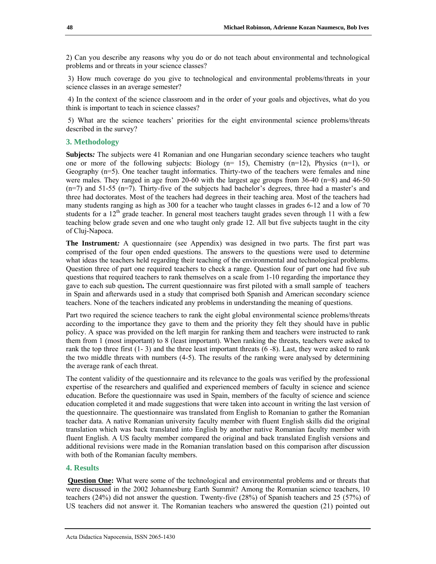2) Can you describe any reasons why you do or do not teach about environmental and technological problems and or threats in your science classes?

 3) How much coverage do you give to technological and environmental problems/threats in your science classes in an average semester?

 4) In the context of the science classroom and in the order of your goals and objectives, what do you think is important to teach in science classes?

 5) What are the science teachers' priorities for the eight environmental science problems/threats described in the survey?

# **3. Methodology**

**Subjects***:* The subjects were 41 Romanian and one Hungarian secondary science teachers who taught one or more of the following subjects: Biology  $(n= 15)$ , Chemistry  $(n=12)$ , Physics  $(n=1)$ , or Geography (n=5). One teacher taught informatics. Thirty-two of the teachers were females and nine were males. They ranged in age from 20-60 with the largest age groups from 36-40 (n=8) and 46-50 (n=7) and 51-55 (n=7). Thirty-five of the subjects had bachelor's degrees, three had a master's and three had doctorates. Most of the teachers had degrees in their teaching area. Most of the teachers had many students ranging as high as 300 for a teacher who taught classes in grades 6-12 and a low of 70 students for a 12<sup>th</sup> grade teacher. In general most teachers taught grades seven through 11 with a few teaching below grade seven and one who taught only grade 12. All but five subjects taught in the city of Cluj-Napoca.

**The Instrument***:* A questionnaire (see Appendix) was designed in two parts. The first part was comprised of the four open ended questions. The answers to the questions were used to determine what ideas the teachers held regarding their teaching of the environmental and technological problems. Question three of part one required teachers to check a range. Question four of part one had five sub questions that required teachers to rank themselves on a scale from 1-10 regarding the importance they gave to each sub question**.** The current questionnaire was first piloted with a small sample of teachers in Spain and afterwards used in a study that comprised both Spanish and American secondary science teachers. None of the teachers indicated any problems in understanding the meaning of questions.

Part two required the science teachers to rank the eight global environmental science problems/threats according to the importance they gave to them and the priority they felt they should have in public policy. A space was provided on the left margin for ranking them and teachers were instructed to rank them from 1 (most important) to 8 (least important). When ranking the threats, teachers were asked to rank the top three first (1- 3) and the three least important threats (6 -8). Last, they were asked to rank the two middle threats with numbers (4-5). The results of the ranking were analysed by determining the average rank of each threat.

The content validity of the questionnaire and its relevance to the goals was verified by the professional expertise of the researchers and qualified and experienced members of faculty in science and science education. Before the questionnaire was used in Spain, members of the faculty of science and science education completed it and made suggestions that were taken into account in writing the last version of the questionnaire. The questionnaire was translated from English to Romanian to gather the Romanian teacher data. A native Romanian university faculty member with fluent English skills did the original translation which was back translated into English by another native Romanian faculty member with fluent English. A US faculty member compared the original and back translated English versions and additional revisions were made in the Romanian translation based on this comparison after discussion with both of the Romanian faculty members.

#### **4. Results**

**Question One:** What were some of the technological and environmental problems and or threats that were discussed in the 2002 Johannesburg Earth Summit? Among the Romanian science teachers, 10 teachers (24%) did not answer the question. Twenty-five (28%) of Spanish teachers and 25 (57%) of US teachers did not answer it. The Romanian teachers who answered the question (21) pointed out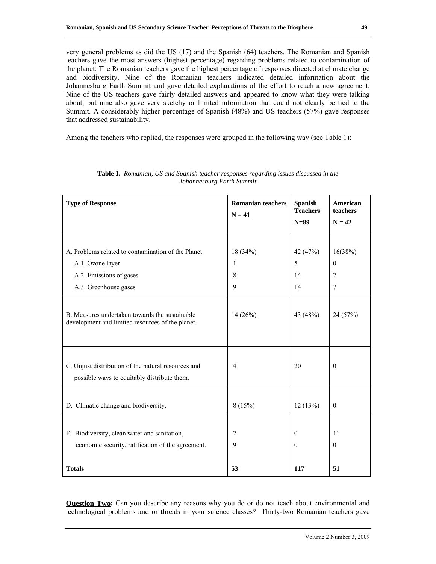very general problems as did the US (17) and the Spanish (64) teachers. The Romanian and Spanish teachers gave the most answers (highest percentage) regarding problems related to contamination of the planet. The Romanian teachers gave the highest percentage of responses directed at climate change and biodiversity. Nine of the Romanian teachers indicated detailed information about the Johannesburg Earth Summit and gave detailed explanations of the effort to reach a new agreement. Nine of the US teachers gave fairly detailed answers and appeared to know what they were talking about, but nine also gave very sketchy or limited information that could not clearly be tied to the Summit. A considerably higher percentage of Spanish (48%) and US teachers (57%) gave responses that addressed sustainability.

Among the teachers who replied, the responses were grouped in the following way (see Table 1):

| <b>Type of Response</b>                                                                            | <b>Romanian teachers</b><br>$N = 41$ | <b>Spanish</b><br><b>Teachers</b><br>$N=89$ | American<br>teachers<br>$N = 42$ |
|----------------------------------------------------------------------------------------------------|--------------------------------------|---------------------------------------------|----------------------------------|
|                                                                                                    |                                      |                                             |                                  |
| A. Problems related to contamination of the Planet:                                                | 18(34%)                              | 42 (47%)                                    | 16(38%)                          |
| A.1. Ozone layer                                                                                   | 1                                    | 5                                           | $\mathbf{0}$                     |
| A.2. Emissions of gases                                                                            | 8                                    | 14                                          | $\overline{2}$                   |
| A.3. Greenhouse gases                                                                              | 9                                    | 14                                          | 7                                |
| B. Measures undertaken towards the sustainable<br>development and limited resources of the planet. | 14(26%)                              | 43 (48%)                                    | 24 (57%)                         |
| C. Unjust distribution of the natural resources and<br>possible ways to equitably distribute them. | $\overline{4}$                       | 20                                          | $\mathbf{0}$                     |
| D. Climatic change and biodiversity.                                                               | 8(15%)                               | 12(13%)                                     | $\theta$                         |
|                                                                                                    |                                      |                                             |                                  |
| E. Biodiversity, clean water and sanitation,                                                       | $\overline{2}$                       | $\Omega$                                    | 11                               |
| economic security, ratification of the agreement.                                                  | 9                                    | $\Omega$                                    | $\theta$                         |
| <b>Totals</b>                                                                                      | 53                                   | 117                                         | 51                               |

**Table 1.** *Romanian, US and Spanish teacher responses regarding issues discussed in the Johannesburg Earth Summit*

**Question Two**: Can you describe any reasons why you do or do not teach about environmental and technological problems and or threats in your science classes? Thirty-two Romanian teachers gave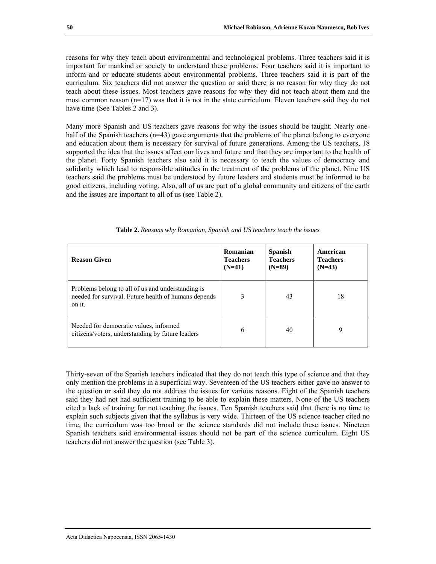reasons for why they teach about environmental and technological problems. Three teachers said it is important for mankind or society to understand these problems. Four teachers said it is important to inform and or educate students about environmental problems. Three teachers said it is part of the curriculum. Six teachers did not answer the question or said there is no reason for why they do not teach about these issues. Most teachers gave reasons for why they did not teach about them and the most common reason  $(n=17)$  was that it is not in the state curriculum. Eleven teachers said they do not have time (See Tables 2 and 3).

Many more Spanish and US teachers gave reasons for why the issues should be taught. Nearly onehalf of the Spanish teachers (n=43) gave arguments that the problems of the planet belong to everyone and education about them is necessary for survival of future generations. Among the US teachers, 18 supported the idea that the issues affect our lives and future and that they are important to the health of the planet. Forty Spanish teachers also said it is necessary to teach the values of democracy and solidarity which lead to responsible attitudes in the treatment of the problems of the planet. Nine US teachers said the problems must be understood by future leaders and students must be informed to be good citizens, including voting. Also, all of us are part of a global community and citizens of the earth and the issues are important to all of us (see Table 2).

| <b>Reason Given</b>                                                                                                 | Romanian<br><b>Teachers</b><br>$(N=41)$ | <b>Spanish</b><br><b>Teachers</b><br>$(N=89)$ | American<br><b>Teachers</b><br>$(N=43)$ |
|---------------------------------------------------------------------------------------------------------------------|-----------------------------------------|-----------------------------------------------|-----------------------------------------|
| Problems belong to all of us and understanding is<br>needed for survival. Future health of humans depends<br>on it. | 3                                       | 43                                            | 18                                      |
| Needed for democratic values, informed<br>citizens/voters, understanding by future leaders                          | 6                                       | 40                                            | 9                                       |

|  |  |  | Table 2. Reasons why Romanian, Spanish and US teachers teach the issues |  |  |  |  |  |
|--|--|--|-------------------------------------------------------------------------|--|--|--|--|--|
|--|--|--|-------------------------------------------------------------------------|--|--|--|--|--|

Thirty-seven of the Spanish teachers indicated that they do not teach this type of science and that they only mention the problems in a superficial way. Seventeen of the US teachers either gave no answer to the question or said they do not address the issues for various reasons. Eight of the Spanish teachers said they had not had sufficient training to be able to explain these matters. None of the US teachers cited a lack of training for not teaching the issues. Ten Spanish teachers said that there is no time to explain such subjects given that the syllabus is very wide. Thirteen of the US science teacher cited no time, the curriculum was too broad or the science standards did not include these issues. Nineteen Spanish teachers said environmental issues should not be part of the science curriculum. Eight US teachers did not answer the question (see Table 3).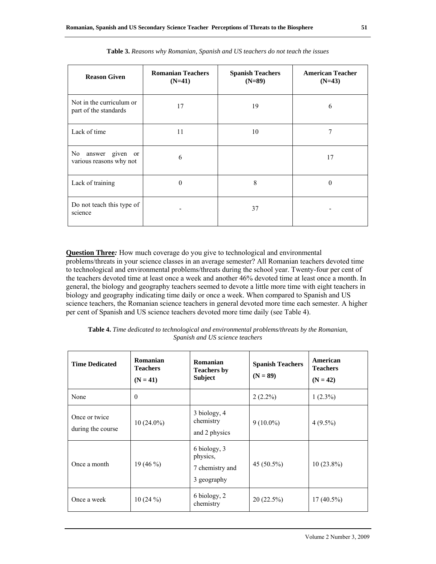| <b>Reason Given</b>                                  | <b>Romanian Teachers</b><br>$(N=41)$ | <b>Spanish Teachers</b><br>$(N=89)$ | <b>American Teacher</b><br>$(N=43)$ |
|------------------------------------------------------|--------------------------------------|-------------------------------------|-------------------------------------|
| Not in the curriculum or<br>part of the standards    | 17                                   | 19                                  | 6                                   |
| Lack of time                                         | 11                                   | 10                                  | 7                                   |
| No.<br>given or<br>answer<br>various reasons why not | 6                                    |                                     | 17                                  |
| Lack of training                                     | $\theta$                             | 8                                   | $\Omega$                            |
| Do not teach this type of<br>science                 |                                      | 37                                  |                                     |

**Table 3.** *Reasons why Romanian, Spanish and US teachers do not teach the issues*

**Question Three***:* How much coverage do you give to technological and environmental problems/threats in your science classes in an average semester? All Romanian teachers devoted time to technological and environmental problems/threats during the school year. Twenty-four per cent of the teachers devoted time at least once a week and another 46% devoted time at least once a month. In general, the biology and geography teachers seemed to devote a little more time with eight teachers in biology and geography indicating time daily or once a week. When compared to Spanish and US science teachers, the Romanian science teachers in general devoted more time each semester. A higher per cent of Spanish and US science teachers devoted more time daily (see Table 4).

| <b>Time Dedicated</b>              | Romanian<br><b>Teachers</b><br>$(N = 41)$ | Romanian<br><b>Teachers by</b><br><b>Subject</b>           | <b>Spanish Teachers</b><br>$(N = 89)$ | American<br><b>Teachers</b><br>$(N = 42)$ |
|------------------------------------|-------------------------------------------|------------------------------------------------------------|---------------------------------------|-------------------------------------------|
| None                               | $\theta$                                  |                                                            | $2(2.2\%)$                            | $1(2.3\%)$                                |
| Once or twice<br>during the course | $10(24.0\%)$                              | 3 biology, 4<br>chemistry<br>and 2 physics                 | $9(10.0\%)$                           | $4(9.5\%)$                                |
| Once a month                       | 19 $(46\%)$                               | 6 biology, 3<br>physics,<br>7 chemistry and<br>3 geography | 45 (50.5%)                            | $10(23.8\%)$                              |
| Once a week                        | $10(24\%)$                                | 6 biology, 2<br>chemistry                                  | 20 (22.5%)                            | $17(40.5\%)$                              |

**Table 4.** *Time dedicated to technological and environmental problems/threats by the Romanian, Spanish and US science teachers*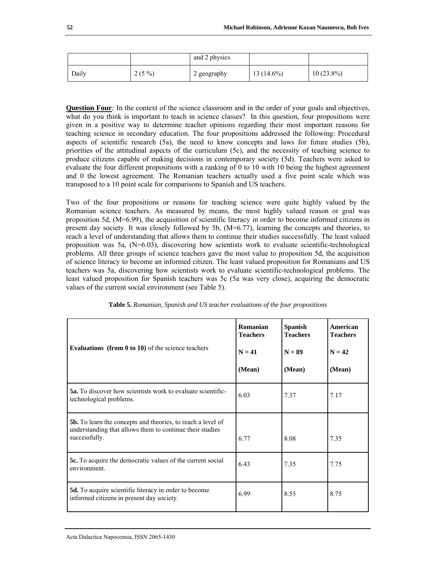|       |          | and 2 physics |              |              |
|-------|----------|---------------|--------------|--------------|
| Daily | $2(5\%)$ | 2 geography   | $13(14.6\%)$ | $10(23.8\%)$ |

**Question Four**: In the context of the science classroom and in the order of your goals and objectives, what do you think is important to teach in science classes? In this question, four propositions were given in a positive way to determine teacher opinions regarding their most important reasons for teaching science in secondary education. The four propositions addressed the following: Procedural aspects of scientific research (5a), the need to know concepts and laws for future studies (5b), priorities of the attitudinal aspects of the curriculum (5c), and the necessity of teaching science to produce citizens capable of making decisions in contemporary society (5d). Teachers were asked to evaluate the four different propositions with a ranking of 0 to 10 with 10 being the highest agreement and 0 the lowest agreement. The Romanian teachers actually used a five point scale which was transposed to a 10 point scale for comparisons to Spanish and US teachers.

Two of the four propositions or reasons for teaching science were quite highly valued by the Romanian science teachers. As measured by means, the most highly valued reason or goal was proposition 5d, (M=6.99), the acquisition of scientific literacy in order to become informed citizens in present day society. It was closely followed by 5b, (M=6.77), learning the concepts and theories, to reach a level of understanding that allows them to continue their studies successfully. The least valued proposition was 5a,  $(N=6.03)$ , discovering how scientists work to evaluate scientific-technological problems. All three groups of science teachers gave the most value to proposition 5d, the acquisition of science literacy to become an informed citizen. The least valued proposition for Romanians and US teachers was 5a, discovering how scientists work to evaluate scientific-technological problems. The least valued proposition for Spanish teachers was 5c (5a was very close), acquiring the democratic values of the current social environment (see Table 5).

| Evaluations (from $0$ to $10$ ) of the science teachers                                                                                         | Romanian<br><b>Teachers</b><br>$N = 41$<br>(Mean) | <b>Spanish</b><br><b>Teachers</b><br>$N = 89$<br>(Mean) | American<br><b>Teachers</b><br>$N = 42$<br>(Mean) |
|-------------------------------------------------------------------------------------------------------------------------------------------------|---------------------------------------------------|---------------------------------------------------------|---------------------------------------------------|
| <b>5a.</b> To discover how scientists work to evaluate scientific-<br>technological problems.                                                   | 6.03                                              | 7.37                                                    | 7.17                                              |
| <b>5b.</b> To learn the concepts and theories, to reach a level of<br>understanding that allows them to continue their studies<br>successfully. | 6.77                                              | 8.08                                                    | 7.35                                              |
| <b>5c.</b> To acquire the democratic values of the current social<br>environment.                                                               | 6.43                                              | 7.35                                                    | 7.75                                              |
| 5d. To acquire scientific literacy in order to become<br>informed citizens in present day society.                                              | 6.99                                              | 8.55                                                    | 8.75                                              |

| Table 5. Romanian, Spanish and US teacher evaluations of the four propositions |  |  |
|--------------------------------------------------------------------------------|--|--|
|--------------------------------------------------------------------------------|--|--|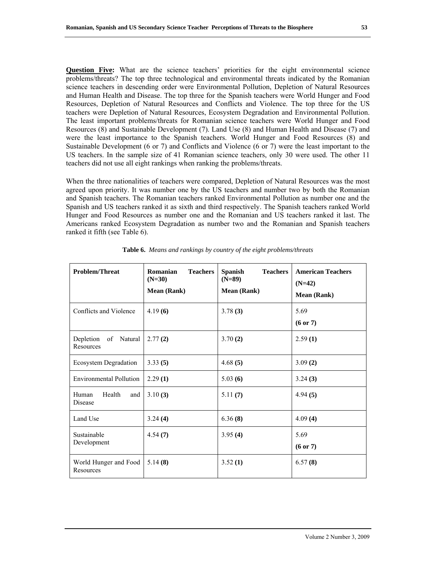**Question Five:** What are the science teachers' priorities for the eight environmental science problems/threats? The top three technological and environmental threats indicated by the Romanian science teachers in descending order were Environmental Pollution, Depletion of Natural Resources and Human Health and Disease. The top three for the Spanish teachers were World Hunger and Food Resources, Depletion of Natural Resources and Conflicts and Violence. The top three for the US teachers were Depletion of Natural Resources, Ecosystem Degradation and Environmental Pollution. The least important problems/threats for Romanian science teachers were World Hunger and Food Resources (8) and Sustainable Development (7). Land Use (8) and Human Health and Disease (7) and were the least importance to the Spanish teachers. World Hunger and Food Resources (8) and Sustainable Development (6 or 7) and Conflicts and Violence (6 or 7) were the least important to the US teachers. In the sample size of 41 Romanian science teachers, only 30 were used. The other 11 teachers did not use all eight rankings when ranking the problems/threats.

When the three nationalities of teachers were compared, Depletion of Natural Resources was the most agreed upon priority. It was number one by the US teachers and number two by both the Romanian and Spanish teachers. The Romanian teachers ranked Environmental Pollution as number one and the Spanish and US teachers ranked it as sixth and third respectively. The Spanish teachers ranked World Hunger and Food Resources as number one and the Romanian and US teachers ranked it last. The Americans ranked Ecosystem Degradation as number two and the Romanian and Spanish teachers ranked it fifth (see Table 6).

| <b>Problem/Threat</b>                | Romanian<br><b>Teachers</b><br>$(N=30)$<br><b>Mean (Rank)</b> | <b>Spanish</b><br><b>Teachers</b><br>$(N=89)$<br><b>Mean (Rank)</b> | <b>American Teachers</b><br>$(N=42)$<br><b>Mean (Rank)</b> |
|--------------------------------------|---------------------------------------------------------------|---------------------------------------------------------------------|------------------------------------------------------------|
| Conflicts and Violence               | 4.19(6)                                                       | 3.78(3)                                                             | 5.69<br>$(6 \text{ or } 7)$                                |
| Depletion<br>of Natural<br>Resources | 2.77(2)                                                       | 3.70(2)                                                             | 2.59(1)                                                    |
| Ecosystem Degradation                | 3.33(5)                                                       | 4.68(5)                                                             | 3.09(2)                                                    |
| <b>Environmental Pollution</b>       | 2.29(1)                                                       | 5.03(6)                                                             | 3.24(3)                                                    |
| Health<br>Human<br>and<br>Disease    | 3.10(3)                                                       | 5.11(7)                                                             | 4.94(5)                                                    |
| Land Use                             | 3.24(4)                                                       | 6.36(8)                                                             | 4.09(4)                                                    |
| Sustainable<br>Development           | 4.54(7)                                                       | 3.95(4)                                                             | 5.69<br>$(6 \text{ or } 7)$                                |
| World Hunger and Food<br>Resources   | 5.14(8)                                                       | 3.52(1)                                                             | 6.57(8)                                                    |

**Table 6.** *Means and rankings by country of the eight problems/threats*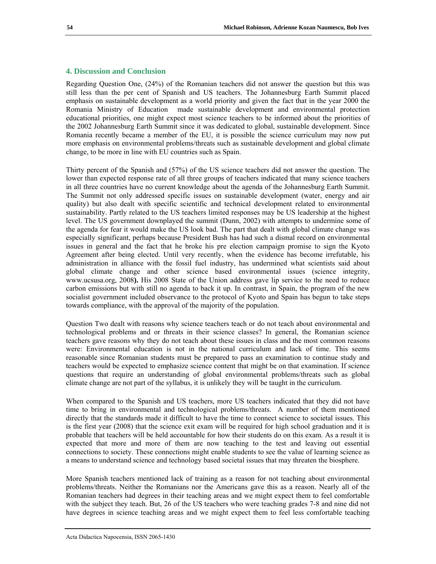## **4. Discussion and Conclusion**

Regarding Question One, (24%) of the Romanian teachers did not answer the question but this was still less than the per cent of Spanish and US teachers. The Johannesburg Earth Summit placed emphasis on sustainable development as a world priority and given the fact that in the year 2000 the Romania Ministry of Education made sustainable development and environmental protection educational priorities, one might expect most science teachers to be informed about the priorities of the 2002 Johannesburg Earth Summit since it was dedicated to global, sustainable development. Since Romania recently became a member of the EU, it is possible the science curriculum may now put more emphasis on environmental problems/threats such as sustainable development and global climate change, to be more in line with EU countries such as Spain.

Thirty percent of the Spanish and (57%) of the US science teachers did not answer the question. The lower than expected response rate of all three groups of teachers indicated that many science teachers in all three countries have no current knowledge about the agenda of the Johannesburg Earth Summit. The Summit not only addressed specific issues on sustainable development (water, energy and air quality) but also dealt with specific scientific and technical development related to environmental sustainability. Partly related to the US teachers limited responses may be US leadership at the highest level. The US government downplayed the summit (Dunn, 2002) with attempts to undermine some of the agenda for fear it would make the US look bad. The part that dealt with global climate change was especially significant, perhaps because President Bush has had such a dismal record on environmental issues in general and the fact that he broke his pre election campaign promise to sign the Kyoto Agreement after being elected. Until very recently, when the evidence has become irrefutable, his administration in alliance with the fossil fuel industry, has undermined what scientists said about global climate change and other science based environmental issues (science integrity, www.ucsusa.org, 2008**).** His 2008 State of the Union address gave lip service to the need to reduce carbon emissions but with still no agenda to back it up. In contrast, in Spain, the program of the new socialist government included observance to the protocol of Kyoto and Spain has begun to take steps towards compliance, with the approval of the majority of the population.

Question Two dealt with reasons why science teachers teach or do not teach about environmental and technological problems and or threats in their science classes? In general, the Romanian science teachers gave reasons why they do not teach about these issues in class and the most common reasons were: Environmental education is not in the national curriculum and lack of time. This seems reasonable since Romanian students must be prepared to pass an examination to continue study and teachers would be expected to emphasize science content that might be on that examination. If science questions that require an understanding of global environmental problems/threats such as global climate change are not part of the syllabus, it is unlikely they will be taught in the curriculum.

When compared to the Spanish and US teachers, more US teachers indicated that they did not have time to bring in environmental and technological problems/threats. A number of them mentioned directly that the standards made it difficult to have the time to connect science to societal issues. This is the first year (2008) that the science exit exam will be required for high school graduation and it is probable that teachers will be held accountable for how their students do on this exam. As a result it is expected that more and more of them are now teaching to the test and leaving out essential connections to society. These connections might enable students to see the value of learning science as a means to understand science and technology based societal issues that may threaten the biosphere.

More Spanish teachers mentioned lack of training as a reason for not teaching about environmental problems/threats. Neither the Romanians nor the Americans gave this as a reason. Nearly all of the Romanian teachers had degrees in their teaching areas and we might expect them to feel comfortable with the subject they teach. But, 26 of the US teachers who were teaching grades 7-8 and nine did not have degrees in science teaching areas and we might expect them to feel less comfortable teaching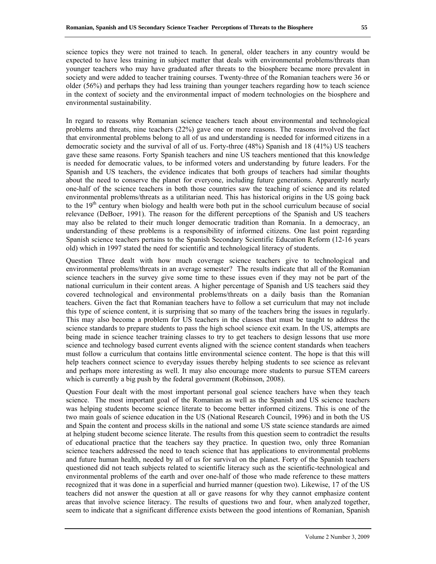science topics they were not trained to teach. In general, older teachers in any country would be expected to have less training in subject matter that deals with environmental problems/threats than younger teachers who may have graduated after threats to the biosphere became more prevalent in society and were added to teacher training courses. Twenty-three of the Romanian teachers were 36 or older (56%) and perhaps they had less training than younger teachers regarding how to teach science in the context of society and the environmental impact of modern technologies on the biosphere and environmental sustainability.

In regard to reasons why Romanian science teachers teach about environmental and technological problems and threats, nine teachers (22%) gave one or more reasons. The reasons involved the fact that environmental problems belong to all of us and understanding is needed for informed citizens in a democratic society and the survival of all of us. Forty-three (48%) Spanish and 18 (41%) US teachers gave these same reasons. Forty Spanish teachers and nine US teachers mentioned that this knowledge is needed for democratic values, to be informed voters and understanding by future leaders. For the Spanish and US teachers, the evidence indicates that both groups of teachers had similar thoughts about the need to conserve the planet for everyone, including future generations. Apparently nearly one-half of the science teachers in both those countries saw the teaching of science and its related environmental problems/threats as a utilitarian need. This has historical origins in the US going back to the  $19<sup>th</sup>$  century when biology and health were both put in the school curriculum because of social relevance (DeBoer, 1991). The reason for the different perceptions of the Spanish and US teachers may also be related to their much longer democratic tradition than Romania. In a democracy, an understanding of these problems is a responsibility of informed citizens. One last point regarding Spanish science teachers pertains to the Spanish Secondary Scientific Education Reform (12-16 years old) which in 1997 stated the need for scientific and technological literacy of students.

Question Three dealt with how much coverage science teachers give to technological and environmental problems/threats in an average semester? The results indicate that all of the Romanian science teachers in the survey give some time to these issues even if they may not be part of the national curriculum in their content areas. A higher percentage of Spanish and US teachers said they covered technological and environmental problems/threats on a daily basis than the Romanian teachers. Given the fact that Romanian teachers have to follow a set curriculum that may not include this type of science content, it is surprising that so many of the teachers bring the issues in regularly. This may also become a problem for US teachers in the classes that must be taught to address the science standards to prepare students to pass the high school science exit exam. In the US, attempts are being made in science teacher training classes to try to get teachers to design lessons that use more science and technology based current events aligned with the science content standards when teachers must follow a curriculum that contains little environmental science content. The hope is that this will help teachers connect science to everyday issues thereby helping students to see science as relevant and perhaps more interesting as well. It may also encourage more students to pursue STEM careers which is currently a big push by the federal government (Robinson, 2008).

Question Four dealt with the most important personal goal science teachers have when they teach science. The most important goal of the Romanian as well as the Spanish and US science teachers was helping students become science literate to become better informed citizens. This is one of the two main goals of science education in the US (National Research Council, 1996) and in both the US and Spain the content and process skills in the national and some US state science standards are aimed at helping student become science literate. The results from this question seem to contradict the results of educational practice that the teachers say they practice. In question two, only three Romanian science teachers addressed the need to teach science that has applications to environmental problems and future human health, needed by all of us for survival on the planet. Forty of the Spanish teachers questioned did not teach subjects related to scientific literacy such as the scientific-technological and environmental problems of the earth and over one-half of those who made reference to these matters recognized that it was done in a superficial and hurried manner (question two). Likewise, 17 of the US teachers did not answer the question at all or gave reasons for why they cannot emphasize content areas that involve science literacy. The results of questions two and four, when analyzed together, seem to indicate that a significant difference exists between the good intentions of Romanian, Spanish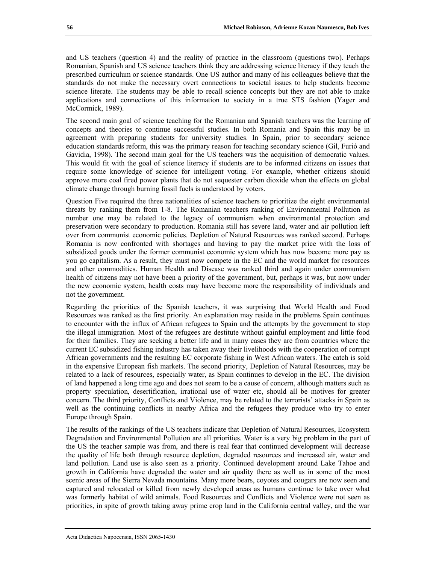and US teachers (question 4) and the reality of practice in the classroom (questions two). Perhaps Romanian, Spanish and US science teachers think they are addressing science literacy if they teach the prescribed curriculum or science standards. One US author and many of his colleagues believe that the standards do not make the necessary overt connections to societal issues to help students become science literate. The students may be able to recall science concepts but they are not able to make applications and connections of this information to society in a true STS fashion (Yager and McCormick, 1989).

The second main goal of science teaching for the Romanian and Spanish teachers was the learning of concepts and theories to continue successful studies. In both Romania and Spain this may be in agreement with preparing students for university studies. In Spain, prior to secondary science education standards reform, this was the primary reason for teaching secondary science (Gil, Furió and Gavidia, 1998). The second main goal for the US teachers was the acquisition of democratic values. This would fit with the goal of science literacy if students are to be informed citizens on issues that require some knowledge of science for intelligent voting. For example, whether citizens should approve more coal fired power plants that do not sequester carbon dioxide when the effects on global climate change through burning fossil fuels is understood by voters.

Question Five required the three nationalities of science teachers to prioritize the eight environmental threats by ranking them from 1-8. The Romanian teachers ranking of Environmental Pollution as number one may be related to the legacy of communism when environmental protection and preservation were secondary to production. Romania still has severe land, water and air pollution left over from communist economic policies. Depletion of Natural Resources was ranked second. Perhaps Romania is now confronted with shortages and having to pay the market price with the loss of subsidized goods under the former communist economic system which has now become more pay as you go capitalism. As a result, they must now compete in the EC and the world market for resources and other commodities. Human Health and Disease was ranked third and again under communism health of citizens may not have been a priority of the government, but, perhaps it was, but now under the new economic system, health costs may have become more the responsibility of individuals and not the government.

Regarding the priorities of the Spanish teachers, it was surprising that World Health and Food Resources was ranked as the first priority. An explanation may reside in the problems Spain continues to encounter with the influx of African refugees to Spain and the attempts by the government to stop the illegal immigration. Most of the refugees are destitute without gainful employment and little food for their families. They are seeking a better life and in many cases they are from countries where the current EC subsidized fishing industry has taken away their livelihoods with the cooperation of corrupt African governments and the resulting EC corporate fishing in West African waters. The catch is sold in the expensive European fish markets. The second priority, Depletion of Natural Resources, may be related to a lack of resources, especially water, as Spain continues to develop in the EC. The division of land happened a long time ago and does not seem to be a cause of concern, although matters such as property speculation, desertification, irrational use of water etc, should all be motives for greater concern. The third priority, Conflicts and Violence, may be related to the terrorists' attacks in Spain as well as the continuing conflicts in nearby Africa and the refugees they produce who try to enter Europe through Spain.

The results of the rankings of the US teachers indicate that Depletion of Natural Resources, Ecosystem Degradation and Environmental Pollution are all priorities. Water is a very big problem in the part of the US the teacher sample was from, and there is real fear that continued development will decrease the quality of life both through resource depletion, degraded resources and increased air, water and land pollution. Land use is also seen as a priority. Continued development around Lake Tahoe and growth in California have degraded the water and air quality there as well as in some of the most scenic areas of the Sierra Nevada mountains. Many more bears, coyotes and cougars are now seen and captured and relocated or killed from newly developed areas as humans continue to take over what was formerly habitat of wild animals. Food Resources and Conflicts and Violence were not seen as priorities, in spite of growth taking away prime crop land in the California central valley, and the war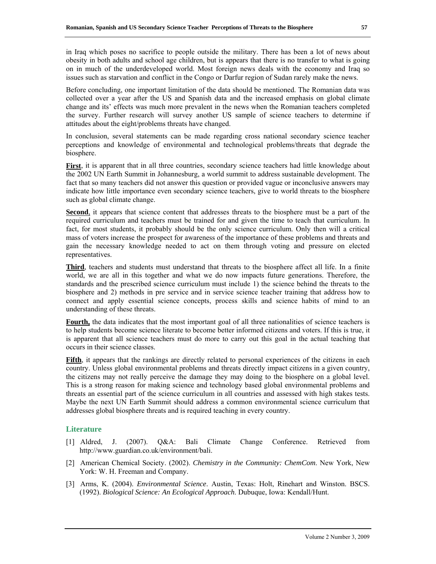in Iraq which poses no sacrifice to people outside the military. There has been a lot of news about obesity in both adults and school age children, but is appears that there is no transfer to what is going on in much of the underdeveloped world. Most foreign news deals with the economy and Iraq so issues such as starvation and conflict in the Congo or Darfur region of Sudan rarely make the news.

Before concluding, one important limitation of the data should be mentioned. The Romanian data was collected over a year after the US and Spanish data and the increased emphasis on global climate change and its' effects was much more prevalent in the news when the Romanian teachers completed the survey. Further research will survey another US sample of science teachers to determine if attitudes about the eight/problems threats have changed.

In conclusion, several statements can be made regarding cross national secondary science teacher perceptions and knowledge of environmental and technological problems/threats that degrade the biosphere.

First, it is apparent that in all three countries, secondary science teachers had little knowledge about the 2002 UN Earth Summit in Johannesburg, a world summit to address sustainable development. The fact that so many teachers did not answer this question or provided vague or inconclusive answers may indicate how little importance even secondary science teachers, give to world threats to the biosphere such as global climate change.

**Second**, it appears that science content that addresses threats to the biosphere must be a part of the required curriculum and teachers must be trained for and given the time to teach that curriculum. In fact, for most students, it probably should be the only science curriculum. Only then will a critical mass of voters increase the prospect for awareness of the importance of these problems and threats and gain the necessary knowledge needed to act on them through voting and pressure on elected representatives.

**Third**, teachers and students must understand that threats to the biosphere affect all life. In a finite world, we are all in this together and what we do now impacts future generations. Therefore, the standards and the prescribed science curriculum must include 1) the science behind the threats to the biosphere and 2) methods in pre service and in service science teacher training that address how to connect and apply essential science concepts, process skills and science habits of mind to an understanding of these threats.

**Fourth**, the data indicates that the most important goal of all three nationalities of science teachers is to help students become science literate to become better informed citizens and voters. If this is true, it is apparent that all science teachers must do more to carry out this goal in the actual teaching that occurs in their science classes.

**Fifth**, it appears that the rankings are directly related to personal experiences of the citizens in each country. Unless global environmental problems and threats directly impact citizens in a given country, the citizens may not really perceive the damage they may doing to the biosphere on a global level. This is a strong reason for making science and technology based global environmental problems and threats an essential part of the science curriculum in all countries and assessed with high stakes tests. Maybe the next UN Earth Summit should address a common environmental science curriculum that addresses global biosphere threats and is required teaching in every country.

# **Literature**

- [1] Aldred, J. (2007). Q&A: Bali Climate Change Conference. Retrieved from http://www.guardian.co.uk/environment/bali.
- [2] American Chemical Society. (2002). *Chemistry in the Community: ChemCom*. New York, New York: W. H. Freeman and Company.
- [3] Arms, K. (2004). *Environmental Science*. Austin, Texas: Holt, Rinehart and Winston. BSCS. (1992). *Biological Science: An Ecological Approach*. Dubuque, Iowa: Kendall/Hunt.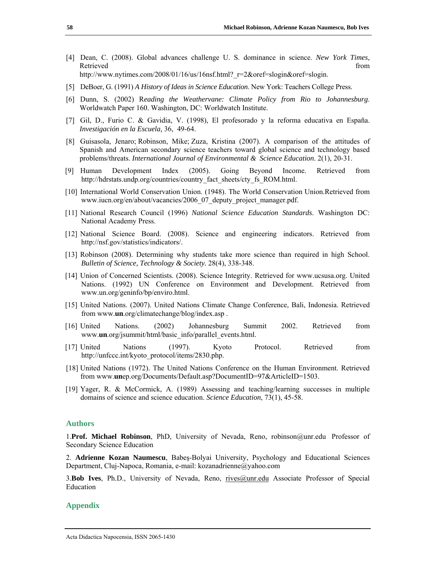- [4] Dean, C. (2008). Global advances challenge U. S. dominance in science. *New York Times,*  Retrieved that the contract of the contract of the contract of the contract of the contract of the contract of the contract of the contract of the contract of the contract of the contract of the contract of the contract of http://www.nytimes.com/2008/01/16/us/16nsf.html? r=2&oref=slogin&oref=slogin.
- [5] DeBoer, G. (1991) *A History of Ideas in Science Education*. New York: Teachers College Press.
- [6] Dunn, S. (2002) R*eading the Weathervane: Climate Policy from Rio to Johannesburg*. Worldwatch Paper 160. Washington, DC: Worldwatch Institute.
- [7] Gil, D., Furio C. & Gavidia, V. (1998), El profesorado y la reforma educativa en España. *Investigación en la Escuela,* 36, 49-64.
- [8] Guisasola, Jenaro; Robinson, Mike; Zuza, Kristina (2007). A comparison of the attitudes of Spanish and American secondary science teachers toward global science and technology based problems/threats. *International Journal of Environmental & Science Education*. 2(1), 20-31.
- [9] Human Development Index (2005). Going Beyond Income. Retrieved from http://hdrstats.undp.org/countries/country\_fact\_sheets/cty\_fs\_ROM.html.
- [10] International World Conservation Union. (1948). The World Conservation Union.Retrieved from www.iucn.org/en/about/vacancies/2006\_07\_deputy\_project\_manager.pdf.
- [11] National Research Council (1996) *National Science Education Standards*. Washington DC: National Academy Press.
- [12] National Science Board. (2008). Science and engineering indicators. Retrieved from http://nsf.gov/statistics/indicators/.
- [13] Robinson (2008). Determining why students take more science than required in high School. *Bulletin of Science, Technology & Society.* 28(4), 338-348.
- [14] Union of Concerned Scientists. (2008). Science Integrity. Retrieved for www.ucsusa.org. United Nations. (1992) UN Conference on Environment and Development. Retrieved from www.un.org/geninfo/bp/enviro.html.
- [15] United Nations. (2007). United Nations Climate Change Conference, Bali, Indonesia. Retrieved from www.**un**.org/climatechange/blog/index.asp .
- [16] United Nations. (2002) Johannesburg Summit 2002. Retrieved from www.**un**.org/jsummit/html/basic\_info/parallel\_events.html.
- [17] United Nations (1997). Kyoto Protocol. Retrieved from http://unfccc.int/kyoto\_protocol/items/2830.php.
- [18] United Nations (1972). The United Nations Conference on the Human Environment. Retrieved from www.**un**ep.org/Documents/Default.asp?DocumentID=97&ArticleID=1503.
- [19] Yager, R. & McCormick, A. (1989) Assessing and teaching/learning successes in multiple domains of science and science education. *Science Education*, 73(1), 45-58.

### **Authors**

1.**Prof. Michael Robinson**, PhD, University of Nevada, Reno, robinson@unr.edu Professor of Secondary Science Education

2. **Adrienne Kozan Naumescu**, Babeş-Bolyai University, Psychology and Educational Sciences Department, Cluj-Napoca, Romania, e-mail: kozanadrienne@yahoo.com

3.**Bob Ives**, Ph.D., University of Nevada, Reno, rives@unr.edu Associate Professor of Special Education

#### **Appendix**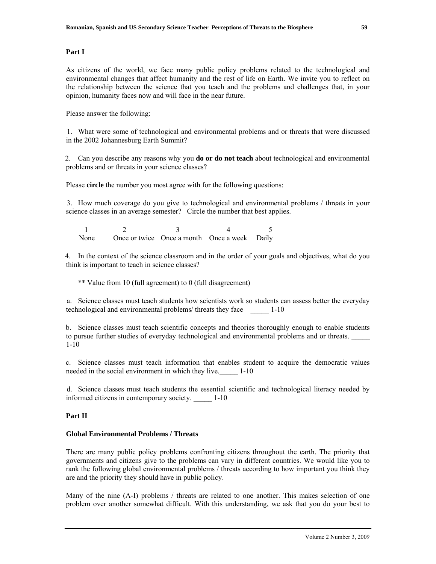### **Part I**

As citizens of the world, we face many public policy problems related to the technological and environmental changes that affect humanity and the rest of life on Earth. We invite you to reflect on the relationship between the science that you teach and the problems and challenges that, in your opinion, humanity faces now and will face in the near future.

Please answer the following:

1. What were some of technological and environmental problems and or threats that were discussed in the 2002 Johannesburg Earth Summit?

2. Can you describe any reasons why you **do or do not teach** about technological and environmental problems and or threats in your science classes?

Please **circle** the number you most agree with for the following questions:

3. How much coverage do you give to technological and environmental problems / threats in your science classes in an average semester? Circle the number that best applies.

1 2 3 4 5 None Once or twice Once a month Once a week Daily

4. In the context of the science classroom and in the order of your goals and objectives, what do you think is important to teach in science classes?

\*\* Value from 10 (full agreement) to 0 (full disagreement)

a. Science classes must teach students how scientists work so students can assess better the everyday technological and environmental problems/ threats they face 1-10

b. Science classes must teach scientific concepts and theories thoroughly enough to enable students to pursue further studies of everyday technological and environmental problems and or threats. 1-10

c. Science classes must teach information that enables student to acquire the democratic values needed in the social environment in which they live. 1-10

d. Science classes must teach students the essential scientific and technological literacy needed by informed citizens in contemporary society. \_\_\_\_\_ 1-10

## **Part II**

## **Global Environmental Problems / Threats**

There are many public policy problems confronting citizens throughout the earth. The priority that governments and citizens give to the problems can vary in different countries. We would like you to rank the following global environmental problems / threats according to how important you think they are and the priority they should have in public policy.

Many of the nine (A-I) problems / threats are related to one another. This makes selection of one problem over another somewhat difficult. With this understanding, we ask that you do your best to